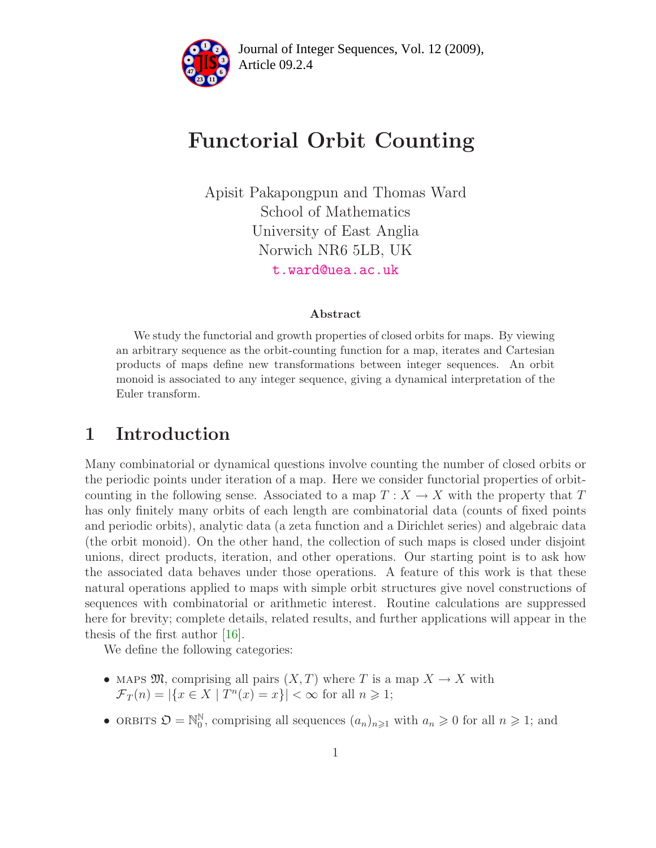

# Functorial Orbit Counting

Apisit Pakapongpun and Thomas Ward School of Mathematics University of East Anglia Norwich NR6 5LB, UK [t.ward@uea.ac.uk](mailto:t.ward@uea.ac.uk)

#### Abstract

We study the functorial and growth properties of closed orbits for maps. By viewing an arbitrary sequence as the orbit-counting function for a map, iterates and Cartesian products of maps define new transformations between integer sequences. An orbit monoid is associated to any integer sequence, giving a dynamical interpretation of the Euler transform.

## 1 Introduction

Many combinatorial or dynamical questions involve counting the number of closed orbits or the periodic points under iteration of a map. Here we consider functorial properties of orbitcounting in the following sense. Associated to a map  $T: X \to X$  with the property that T has only finitely many orbits of each length are combinatorial data (counts of fixed points and periodic orbits), analytic data (a zeta function and a Dirichlet series) and algebraic data (the orbit monoid). On the other hand, the collection of such maps is closed under disjoint unions, direct products, iteration, and other operations. Our starting point is to ask how the associated data behaves under those operations. A feature of this work is that these natural operations applied to maps with simple orbit structures give novel constructions of sequences with combinatorial or arithmetic interest. Routine calculations are suppressed here for brevity; complete details, related results, and further applications will appear in the thesis of the first author [\[16\]](#page-19-0).

We define the following categories:

- MAPS  $\mathfrak{M}$ , comprising all pairs  $(X,T)$  where T is a map  $X \to X$  with  $\mathcal{F}_T(n) = |\{x \in X \mid T^n(x) = x\}| < \infty$  for all  $n \geq 1$ ;
- ORBITS  $\mathfrak{O} = \mathbb{N}_0^{\mathbb{N}}$ , comprising all sequences  $(a_n)_{n \geq 1}$  with  $a_n \geq 0$  for all  $n \geq 1$ ; and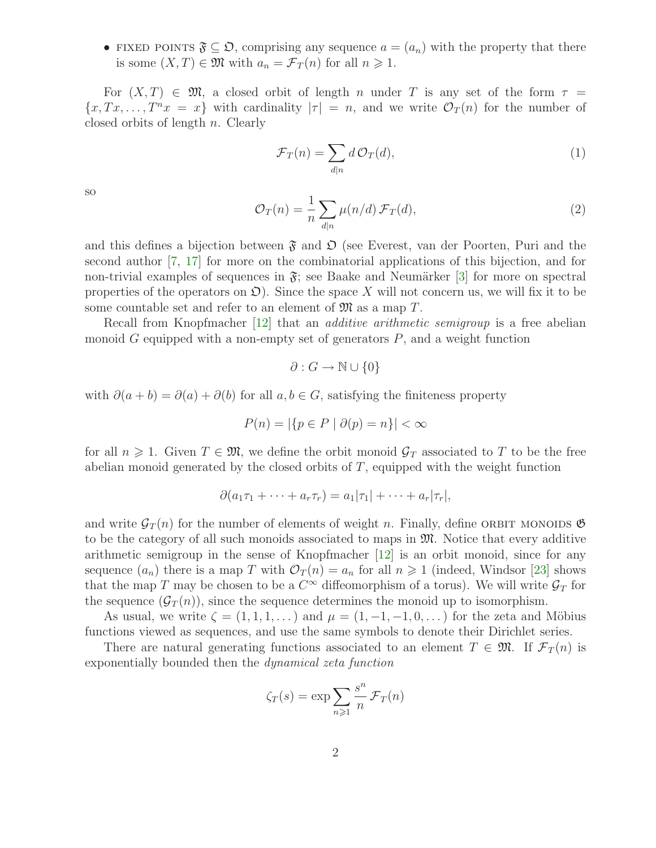• FIXED POINTS  $\mathfrak{F} \subseteq \mathfrak{D}$ , comprising any sequence  $a = (a_n)$  with the property that there is some  $(X, T) \in \mathfrak{M}$  with  $a_n = \mathcal{F}_T(n)$  for all  $n \geq 1$ .

For  $(X, T) \in \mathfrak{M}$ , a closed orbit of length n under T is any set of the form  $\tau =$  ${x, Tx, \ldots, T^n x = x}$  with cardinality  $|\tau| = n$ , and we write  $\mathcal{O}_T(n)$  for the number of closed orbits of length n. Clearly

<span id="page-1-0"></span>
$$
\mathcal{F}_T(n) = \sum_{d|n} d \mathcal{O}_T(d),\tag{1}
$$

<span id="page-1-1"></span>so

$$
\mathcal{O}_T(n) = \frac{1}{n} \sum_{d|n} \mu(n/d) \mathcal{F}_T(d),\tag{2}
$$

and this defines a bijection between  $\mathfrak F$  and  $\mathfrak D$  (see Everest, van der Poorten, Puri and the second author [\[7,](#page-18-0) [17\]](#page-19-1) for more on the combinatorial applications of this bijection, and for non-trivial examples of sequences in  $\mathfrak{F}$ ; see Baake and Neumärker [\[3\]](#page-18-1) for more on spectral properties of the operators on  $\mathfrak{O}$ . Since the space X will not concern us, we will fix it to be some countable set and refer to an element of  $\mathfrak{M}$  as a map T.

Recall from Knopfmacher [\[12\]](#page-18-2) that an additive arithmetic semigroup is a free abelian monoid  $G$  equipped with a non-empty set of generators  $P$ , and a weight function

$$
\partial: G \to \mathbb{N} \cup \{0\}
$$

with  $\partial(a+b) = \partial(a) + \partial(b)$  for all  $a, b \in G$ , satisfying the finiteness property

$$
P(n) = |\{p \in P \mid \partial(p) = n\}| < \infty
$$

for all  $n \geq 1$ . Given  $T \in \mathfrak{M}$ , we define the orbit monoid  $\mathcal{G}_T$  associated to T to be the free abelian monoid generated by the closed orbits of T, equipped with the weight function

$$
\partial(a_1\tau_1+\cdots+a_r\tau_r)=a_1|\tau_1|+\cdots+a_r|\tau_r|,
$$

and write  $\mathcal{G}_T(n)$  for the number of elements of weight n. Finally, define ORBIT MONOIDS  $\mathfrak{G}$ to be the category of all such monoids associated to maps in  $\mathfrak{M}$ . Notice that every additive arithmetic semigroup in the sense of Knopfmacher [\[12\]](#page-18-2) is an orbit monoid, since for any sequence  $(a_n)$  there is a map T with  $\mathcal{O}_T(n) = a_n$  for all  $n \geq 1$  (indeed, Windsor [\[23\]](#page-19-2) shows that the map T may be chosen to be a  $C^{\infty}$  diffeomorphism of a torus). We will write  $\mathcal{G}_T$  for the sequence  $(\mathcal{G}_T(n))$ , since the sequence determines the monoid up to isomorphism.

As usual, we write  $\zeta = (1, 1, 1, \dots)$  and  $\mu = (1, -1, -1, 0, \dots)$  for the zeta and Möbius functions viewed as sequences, and use the same symbols to denote their Dirichlet series.

There are natural generating functions associated to an element  $T \in \mathfrak{M}$ . If  $\mathcal{F}_T(n)$  is exponentially bounded then the dynamical zeta function

$$
\zeta_T(s) = \exp \sum_{n \geqslant 1} \frac{s^n}{n} \mathcal{F}_T(n)
$$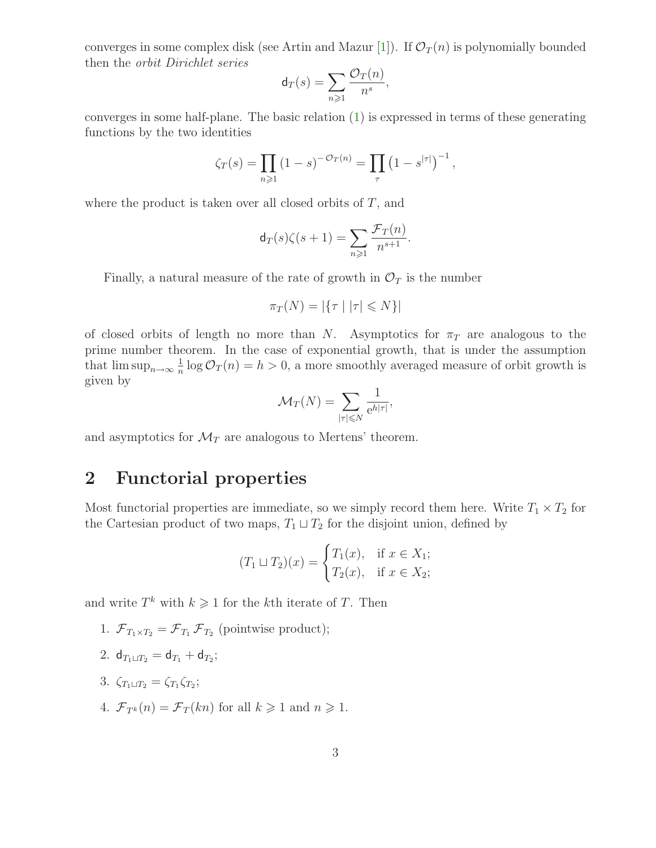converges in some complex disk (see Artin and Mazur [\[1\]](#page-18-3)). If  $\mathcal{O}_T(n)$  is polynomially bounded then the orbit Dirichlet series  $\sqrt{2}$ 

$$
\mathsf{d}_T(s) = \sum_{n \geqslant 1} \frac{\mathcal{O}_T(n)}{n^s},
$$

converges in some half-plane. The basic relation [\(1\)](#page-1-0) is expressed in terms of these generating functions by the two identities

$$
\zeta_T(s) = \prod_{n \geq 1} (1 - s)^{-\mathcal{O}_T(n)} = \prod_{\tau} (1 - s^{|\tau|})^{-1},
$$

where the product is taken over all closed orbits of  $T$ , and

$$
\mathsf{d}_{T}(s)\zeta(s+1) = \sum_{n\geqslant 1} \frac{\mathcal{F}_{T}(n)}{n^{s+1}}.
$$

Finally, a natural measure of the rate of growth in  $\mathcal{O}_T$  is the number

$$
\pi_T(N) = |\{\tau \mid |\tau| \le N\}|
$$

of closed orbits of length no more than N. Asymptotics for  $\pi_T$  are analogous to the prime number theorem. In the case of exponential growth, that is under the assumption that  $\limsup_{n\to\infty}\frac{1}{n}$  $\frac{1}{n}$  log  $\mathcal{O}_T(n) = h > 0$ , a more smoothly averaged measure of orbit growth is given by

$$
\mathcal{M}_T(N) = \sum_{|\tau| \leq N} \frac{1}{e^{h|\tau|}},
$$

and asymptotics for  $\mathcal{M}_T$  are analogous to Mertens' theorem.

## 2 Functorial properties

Most functorial properties are immediate, so we simply record them here. Write  $T_1 \times T_2$  for the Cartesian product of two maps,  $T_1 \sqcup T_2$  for the disjoint union, defined by

$$
(T_1 \sqcup T_2)(x) = \begin{cases} T_1(x), & \text{if } x \in X_1; \\ T_2(x), & \text{if } x \in X_2; \end{cases}
$$

and write  $T^k$  with  $k \geq 1$  for the kth iterate of T. Then

- 1.  $\mathcal{F}_{T_1 \times T_2} = \mathcal{F}_{T_1} \mathcal{F}_{T_2}$  (pointwise product);
- 2.  $d_{T_1 \sqcup T_2} = d_{T_1} + d_{T_2};$
- 3.  $\zeta_{T_1 \sqcup T_2} = \zeta_{T_1} \zeta_{T_2};$
- 4.  $\mathcal{F}_{T^k}(n) = \mathcal{F}_T(kn)$  for all  $k \geq 1$  and  $n \geq 1$ .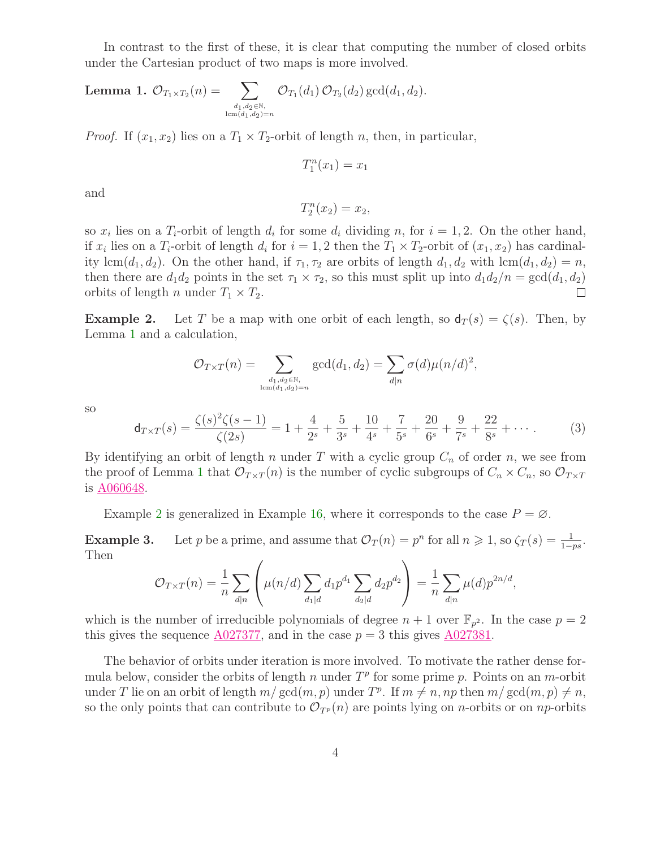<span id="page-3-0"></span>In contrast to the first of these, it is clear that computing the number of closed orbits under the Cartesian product of two maps is more involved.

**Lemma 1.** 
$$
\mathcal{O}_{T_1 \times T_2}(n) = \sum_{\substack{d_1, d_2 \in \mathbb{N}, \\ \operatorname{lcm}(d_1, d_2) = n}} \mathcal{O}_{T_1}(d_1) \mathcal{O}_{T_2}(d_2) \operatorname{gcd}(d_1, d_2).
$$

*Proof.* If  $(x_1, x_2)$  lies on a  $T_1 \times T_2$ -orbit of length n, then, in particular,

$$
T_1^n(x_1) = x_1
$$

and

$$
T_2^n(x_2) = x_2,
$$

so  $x_i$  lies on a  $T_i$ -orbit of length  $d_i$  for some  $d_i$  dividing n, for  $i = 1, 2$ . On the other hand, if  $x_i$  lies on a  $T_i$ -orbit of length  $d_i$  for  $i = 1, 2$  then the  $T_1 \times T_2$ -orbit of  $(x_1, x_2)$  has cardinality lcm( $d_1, d_2$ ). On the other hand, if  $\tau_1, \tau_2$  are orbits of length  $d_1, d_2$  with lcm( $d_1, d_2$ ) = n, then there are  $d_1d_2$  points in the set  $\tau_1 \times \tau_2$ , so this must split up into  $d_1d_2/n = \gcd(d_1, d_2)$ orbits of length *n* under  $T_1 \times T_2$ .  $\Box$ 

<span id="page-3-1"></span>**Example 2.** Let T be a map with one orbit of each length, so  $d_T(s) = \zeta(s)$ . Then, by Lemma [1](#page-3-0) and a calculation,

$$
\mathcal{O}_{T \times T}(n) = \sum_{\substack{d_1, d_2 \in \mathbb{N}, \\ \operatorname{lcm}(d_1, d_2) = n}} \gcd(d_1, d_2) = \sum_{d | n} \sigma(d) \mu(n/d)^2,
$$

<span id="page-3-2"></span>so

$$
\mathsf{d}_{T \times T}(s) = \frac{\zeta(s)^2 \zeta(s-1)}{\zeta(2s)} = 1 + \frac{4}{2^s} + \frac{5}{3^s} + \frac{10}{4^s} + \frac{7}{5^s} + \frac{20}{6^s} + \frac{9}{7^s} + \frac{22}{8^s} + \cdots
$$
 (3)

By identifying an orbit of length n under T with a cyclic group  $C_n$  of order n, we see from the proof of Lemma [1](#page-3-0) that  $\mathcal{O}_{T\times T}(n)$  is the number of cyclic subgroups of  $C_n \times C_n$ , so  $\mathcal{O}_{T\times T}$ is [A060648.](http://www.research.att.com/cgi-bin/access.cgi/as/~njas/sequences/eisA.cgi?Anum=A060648)

Example [2](#page-3-1) is generalized in Example [16,](#page-11-0) where it corresponds to the case  $P = \emptyset$ .

**Example 3.** Let p be a prime, and assume that  $\mathcal{O}_T(n) = p^n$  for all  $n \geq 1$ , so  $\zeta_T(s) = \frac{1}{1 - ps}$ . Then

$$
\mathcal{O}_{T \times T}(n) = \frac{1}{n} \sum_{d|n} \left( \mu(n/d) \sum_{d_1|d} d_1 p^{d_1} \sum_{d_2|d} d_2 p^{d_2} \right) = \frac{1}{n} \sum_{d|n} \mu(d) p^{2n/d},
$$

which is the number of irreducible polynomials of degree  $n+1$  over  $\mathbb{F}_{p^2}$ . In the case  $p=2$ this gives the sequence  $A027377$ , and in the case  $p = 3$  this gives  $A027381$ .

The behavior of orbits under iteration is more involved. To motivate the rather dense formula below, consider the orbits of length n under  $T<sup>p</sup>$  for some prime p. Points on an m-orbit under T lie on an orbit of length  $m/\gcd(m, p)$  under  $T^p$ . If  $m \neq n$ , np then  $m/\gcd(m, p) \neq n$ , so the only points that can contribute to  $\mathcal{O}_{T^p}(n)$  are points lying on *n*-orbits or on *np*-orbits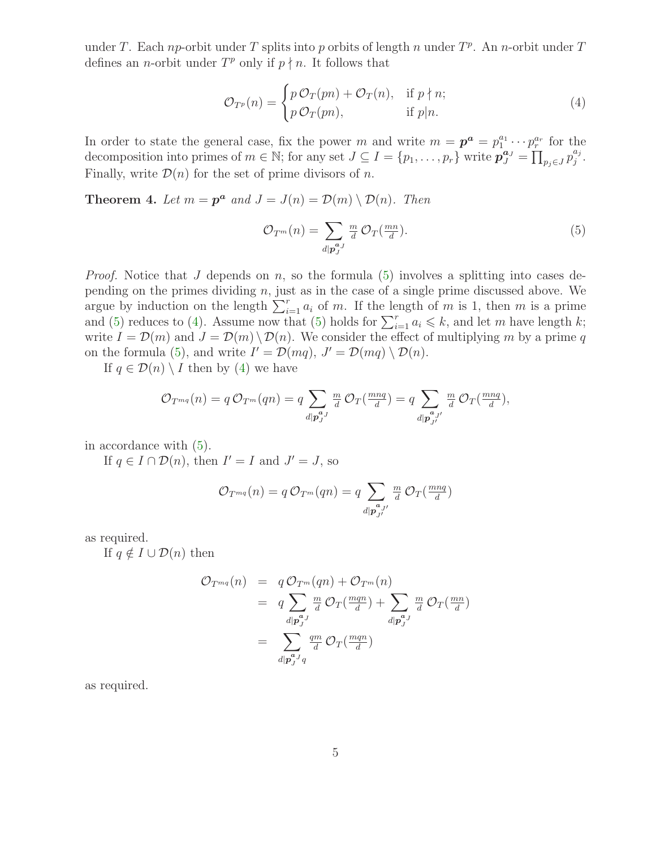under T. Each np-orbit under T splits into p orbits of length n under  $T<sup>p</sup>$ . An n-orbit under T defines an *n*-orbit under  $T^p$  only if  $p \nmid n$ . It follows that

<span id="page-4-1"></span>
$$
\mathcal{O}_{T^p}(n) = \begin{cases} p \mathcal{O}_T(pn) + \mathcal{O}_T(n), & \text{if } p \nmid n; \\ p \mathcal{O}_T(pn), & \text{if } p \mid n. \end{cases}
$$
\n(4)

In order to state the general case, fix the power m and write  $m = \boldsymbol{p}^{\boldsymbol{a}} = p_1^{a_1} \cdots p_r^{a_r}$  for the decomposition into primes of  $m \in \mathbb{N}$ ; for any set  $J \subseteq I = \{p_1, \ldots, p_r\}$  write  $\mathbf{p}_{J}^{\mathbf{a}_{J}} = \prod_{p_j \in J} p_j^{a_j}$  $_{j}^{a_{j}}.$ Finally, write  $\mathcal{D}(n)$  for the set of prime divisors of n.

<span id="page-4-2"></span>**Theorem 4.** Let  $m = \mathbf{p}^a$  and  $J = J(n) = \mathcal{D}(m) \setminus \mathcal{D}(n)$ . Then

<span id="page-4-0"></span>
$$
\mathcal{O}_{T^m}(n) = \sum_{d|\mathbf{p}_J^{a_J}} \frac{m}{d} \mathcal{O}_T(\frac{mn}{d}).\tag{5}
$$

*Proof.* Notice that J depends on n, so the formula [\(5\)](#page-4-0) involves a splitting into cases depending on the primes dividing n, just as in the case of a single prime discussed above. We argue by induction on the length  $\sum_{i=1}^{r} a_i$  of m. If the length of m is 1, then m is a prime and [\(5\)](#page-4-0) reduces to [\(4\)](#page-4-1). Assume now that (5) holds for  $\sum_{i=1}^{r} a_i \leq k$ , and let m have length k; write  $I = \mathcal{D}(m)$  and  $J = \mathcal{D}(m) \setminus \mathcal{D}(n)$ . We consider the effect of multiplying m by a prime q on the formula [\(5\)](#page-4-0), and write  $I' = \mathcal{D}(mq)$ ,  $J' = \mathcal{D}(mq) \setminus \mathcal{D}(n)$ .

If  $q \in \mathcal{D}(n) \setminus I$  then by [\(4\)](#page-4-1) we have

$$
\mathcal{O}_{T^{mq}}(n) = q \mathcal{O}_{T^m}(qn) = q \sum_{d|\mathbf{p}_{J}^{a,J}} \frac{m}{d} \mathcal{O}_{T}(\frac{mnq}{d}) = q \sum_{d|\mathbf{p}_{J'}^{a,J'}} \frac{m}{d} \mathcal{O}_{T}(\frac{mnq}{d}),
$$

in accordance with [\(5\)](#page-4-0).

If  $q \in I \cap \mathcal{D}(n)$ , then  $I' = I$  and  $J' = J$ , so

$$
\mathcal{O}_{T^{mq}}(n) = q \mathcal{O}_{T^m}(qn) = q \sum_{d|\mathbf{p}_{J'}^{a} \mathbf{p}'} \frac{m}{d} \mathcal{O}_T(\frac{mnq}{d})
$$

as required.

If  $q \notin I \cup \mathcal{D}(n)$  then

$$
\mathcal{O}_{T^{mq}}(n) = q \mathcal{O}_{T^m}(qn) + \mathcal{O}_{T^m}(n)
$$
  
\n
$$
= q \sum_{d|\mathbf{p}_J^{a_J}} \frac{m}{d} \mathcal{O}_T(\frac{mqn}{d}) + \sum_{d|\mathbf{p}_J^{a_J}} \frac{m}{d} \mathcal{O}_T(\frac{mn}{d})
$$
  
\n
$$
= \sum_{d|\mathbf{p}_J^{a_J}q} \frac{qm}{d} \mathcal{O}_T(\frac{mqn}{d})
$$

as required.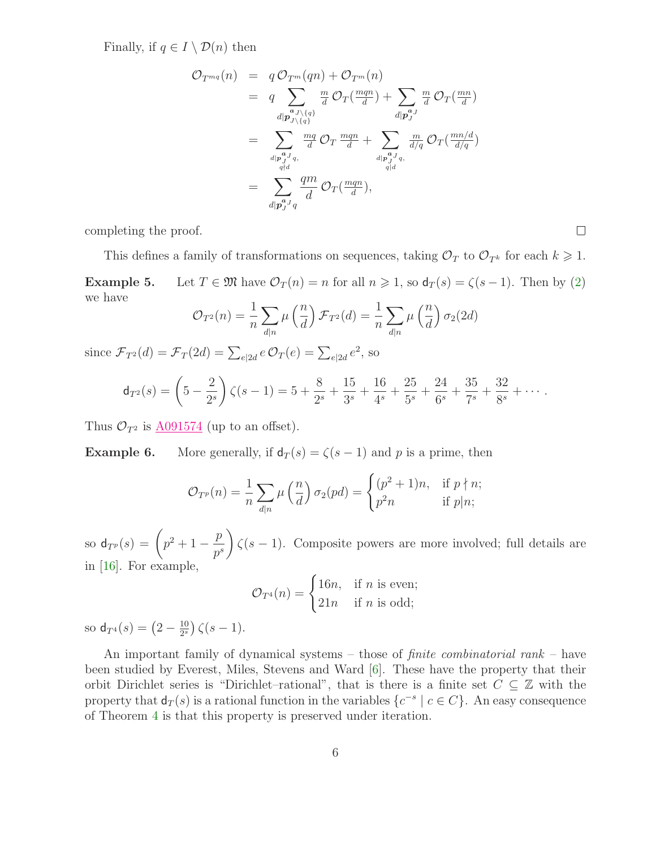Finally, if  $q \in I \setminus \mathcal{D}(n)$  then

$$
\begin{array}{lcl} \mathcal{O}_{T^{mq}}(n) & = & q \mathcal{O}_{T^m}(qn) + \mathcal{O}_{T^m}(n) \\ & = & q \sum_{d|\mathcal{P}_{J\backslash \{q\}}} \frac{m}{d} \mathcal{O}_T(\frac{mqn}{d}) + \sum_{d|\mathcal{P}_{J}^a} \frac{m}{d} \mathcal{O}_T(\frac{mn}{d}) \\ & = & \sum_{d|\mathcal{P}_{J\backslash \{q\}}} \frac{mq}{d} \mathcal{O}_T \frac{mqn}{d} + \sum_{d|\mathcal{P}_{J}^a} \frac{m}{d/q} \mathcal{O}_T(\frac{mn/d}{d/q}) \\ & = & \sum_{d|\mathcal{P}_{J}^a} \frac{qm}{d} \mathcal{O}_T(\frac{mqn}{d}), \\ & = & \sum_{d|\mathcal{P}_{J}^a} \frac{qm}{d} \mathcal{O}_T(\frac{mqn}{d}), \end{array}
$$

completing the proof.

This defines a family of transformations on sequences, taking  $\mathcal{O}_T$  to  $\mathcal{O}_{T^k}$  for each  $k \geq 1$ . **Example 5.** Let  $T \in \mathfrak{M}$  have  $\mathcal{O}_T(n) = n$  for all  $n \geq 1$ , so  $d_T(s) = \zeta(s-1)$ . Then by [\(2\)](#page-1-1) we have

 $\Box$ 

$$
\mathcal{O}_{T^2}(n) = \frac{1}{n} \sum_{d|n} \mu\left(\frac{n}{d}\right) \mathcal{F}_{T^2}(d) = \frac{1}{n} \sum_{d|n} \mu\left(\frac{n}{d}\right) \sigma_2(2d)
$$

since  $\mathcal{F}_{T^2}(d) = \mathcal{F}_T(2d) = \sum_{e|2d} e \mathcal{O}_T(e) = \sum_{e|2d} e^2$ , so

$$
\mathsf{d}_{T^2}(s) = \left(5 - \frac{2}{2^s}\right)\zeta(s-1) = 5 + \frac{8}{2^s} + \frac{15}{3^s} + \frac{16}{4^s} + \frac{25}{5^s} + \frac{24}{6^s} + \frac{35}{7^s} + \frac{32}{8^s} + \cdots
$$

Thus  $\mathcal{O}_{T^2}$  is  $\underline{\text{A091574}}$  $\underline{\text{A091574}}$  $\underline{\text{A091574}}$  (up to an offset).

**Example 6.** More generally, if  $d_T(s) = \zeta(s-1)$  and p is a prime, then

$$
\mathcal{O}_{T^p}(n) = \frac{1}{n} \sum_{d|n} \mu\left(\frac{n}{d}\right) \sigma_2(pd) = \begin{cases} (p^2 + 1)n, & \text{if } p \nmid n; \\ p^2 n & \text{if } p \mid n; \end{cases}
$$

so  $d_{T^p}(s) = \left( p^2 + 1 - \frac{p}{s^s} \right)$  $p^s$  $\setminus$  $\zeta(s-1)$ . Composite powers are more involved; full details are in [\[16\]](#page-19-0). For example,

$$
\mathcal{O}_{T^4}(n) = \begin{cases} 16n, & \text{if } n \text{ is even;} \\ 21n & \text{if } n \text{ is odd;} \end{cases}
$$

so  $d_{T^4}(s) = \left(2 - \frac{10}{2^s}\right)$  $\frac{10}{2^s}$ )  $\zeta(s-1)$ .

An important family of dynamical systems – those of finite combinatorial rank – have been studied by Everest, Miles, Stevens and Ward [\[6\]](#page-18-4). These have the property that their orbit Dirichlet series is "Dirichlet–rational", that is there is a finite set  $C \subseteq \mathbb{Z}$  with the property that  $d_T(s)$  is a rational function in the variables  $\{c^{-s} \mid c \in C\}$ . An easy consequence of Theorem [4](#page-4-2) is that this property is preserved under iteration.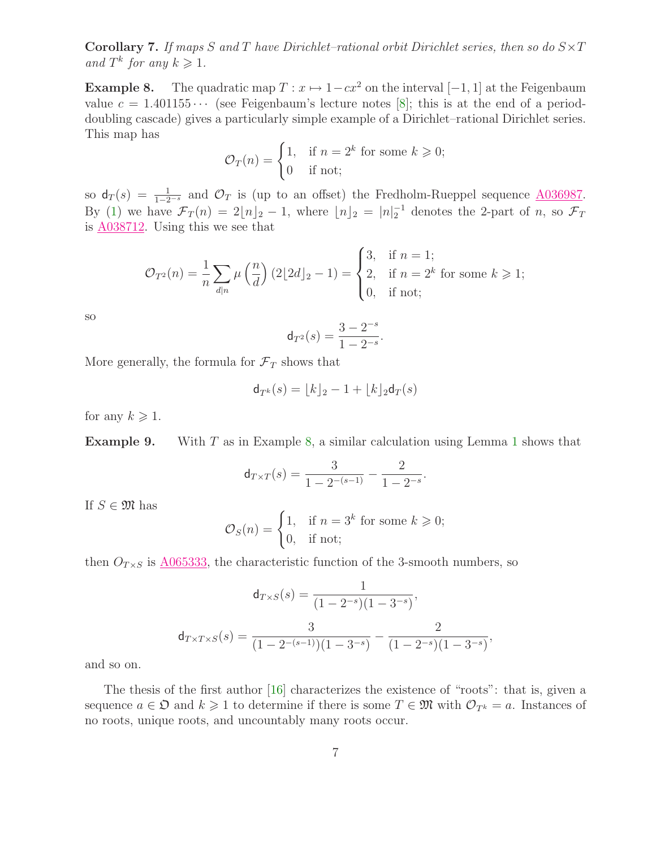**Corollary 7.** If maps S and T have Dirichlet-rational orbit Dirichlet series, then so do  $S \times T$ and  $T^k$  for any  $k \geqslant 1$ .

<span id="page-6-0"></span>**Example 8.** The quadratic map  $T : x \mapsto 1-cx^2$  on the interval  $[-1, 1]$  at the Feigenbaum value  $c = 1.401155 \cdots$  (see Feigenbaum's lecture notes [\[8\]](#page-18-5); this is at the end of a perioddoubling cascade) gives a particularly simple example of a Dirichlet–rational Dirichlet series. This map has

$$
\mathcal{O}_T(n) = \begin{cases} 1, & \text{if } n = 2^k \text{ for some } k \geqslant 0; \\ 0 & \text{if not;} \end{cases}
$$

so  $d_T(s) = \frac{1}{1-2^{-s}}$  and  $\mathcal{O}_T$  is (up to an offset) the Fredholm-Rueppel sequence  $\underline{A036987}$ . By [\(1\)](#page-1-0) we have  $\mathcal{F}_T(n) = 2\lfloor n \rfloor_2 - 1$ , where  $\lfloor n \rfloor_2 = |n|_2^{-1}$  denotes the 2-part of n, so  $\mathcal{F}_T$ is [A038712.](http://www.research.att.com/cgi-bin/access.cgi/as/~njas/sequences/eisA.cgi?Anum=A038712) Using this we see that

$$
\mathcal{O}_{T^2}(n) = \frac{1}{n} \sum_{d|n} \mu\left(\frac{n}{d}\right) (2\lfloor 2d \rfloor_2 - 1) = \begin{cases} 3, & \text{if } n = 1; \\ 2, & \text{if } n = 2^k \text{ for some } k \geqslant 1; \\ 0, & \text{if not;} \end{cases}
$$

so

$$
\mathsf{d}_{T^2}(s) = \frac{3 - 2^{-s}}{1 - 2^{-s}}.
$$

More generally, the formula for  $\mathcal{F}_T$  shows that

$$
\mathsf{d}_{T^k}(s) = \lfloor k \rfloor_2 - 1 + \lfloor k \rfloor_2 \mathsf{d}_T(s)
$$

for any  $k \geqslant 1$ .

**Example 9.** With  $T$  as in Example [8,](#page-6-0) a similar calculation using Lemma [1](#page-3-0) shows that

$$
\mathsf{d}_{T \times T}(s) = \frac{3}{1 - 2^{-(s-1)}} - \frac{2}{1 - 2^{-s}}.
$$

If  $S \in \mathfrak{M}$  has

$$
\mathcal{O}_S(n) = \begin{cases} 1, & \text{if } n = 3^k \text{ for some } k \geqslant 0; \\ 0, & \text{if not;} \end{cases}
$$

then  $O_{T\times S}$  is  $\underline{\text{A}065333}$ , the characteristic function of the 3-smooth numbers, so

$$
d_{T \times S}(s) = \frac{1}{(1 - 2^{-s})(1 - 3^{-s})},
$$

$$
d_{T \times T \times S}(s) = \frac{3}{(1 - 2^{-(s-1)})(1 - 3^{-s})} - \frac{2}{(1 - 2^{-s})(1 - 3^{-s})},
$$

and so on.

The thesis of the first author [\[16\]](#page-19-0) characterizes the existence of "roots": that is, given a sequence  $a \in \mathfrak{O}$  and  $k \geq 1$  to determine if there is some  $T \in \mathfrak{M}$  with  $\mathcal{O}_{T^k} = a$ . Instances of no roots, unique roots, and uncountably many roots occur.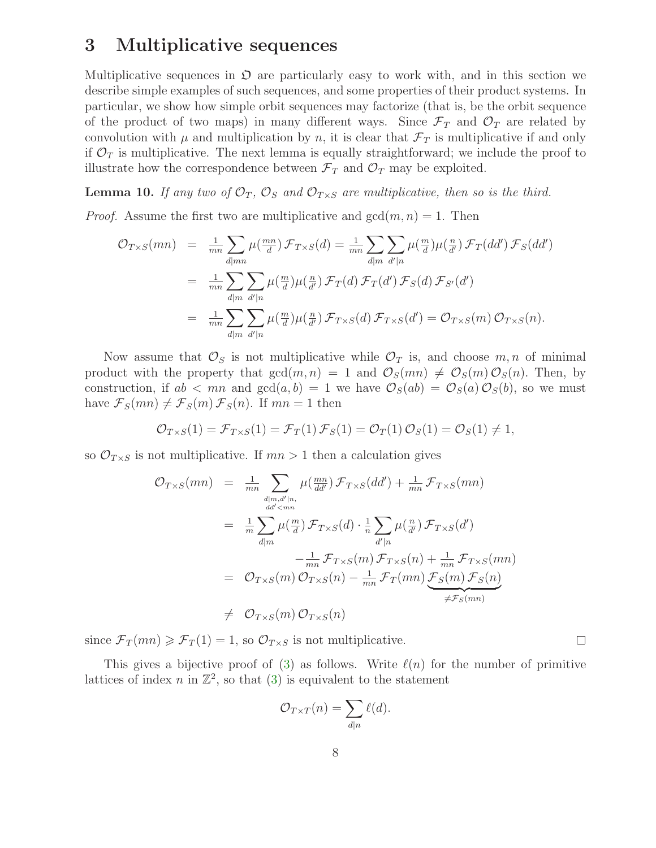### 3 Multiplicative sequences

Multiplicative sequences in  $\mathfrak D$  are particularly easy to work with, and in this section we describe simple examples of such sequences, and some properties of their product systems. In particular, we show how simple orbit sequences may factorize (that is, be the orbit sequence of the product of two maps) in many different ways. Since  $\mathcal{F}_T$  and  $\mathcal{O}_T$  are related by convolution with  $\mu$  and multiplication by n, it is clear that  $\mathcal{F}_T$  is multiplicative if and only if  $\mathcal{O}_T$  is multiplicative. The next lemma is equally straightforward; we include the proof to illustrate how the correspondence between  $\mathcal{F}_T$  and  $\mathcal{O}_T$  may be exploited.

**Lemma 10.** If any two of  $\mathcal{O}_T$ ,  $\mathcal{O}_S$  and  $\mathcal{O}_{T \times S}$  are multiplicative, then so is the third.

*Proof.* Assume the first two are multiplicative and  $gcd(m, n) = 1$ . Then

$$
\mathcal{O}_{T \times S}(mn) = \frac{1}{mn} \sum_{d \mid mn} \mu(\frac{mn}{d}) \mathcal{F}_{T \times S}(d) = \frac{1}{mn} \sum_{d \mid m} \sum_{d' \mid n} \mu(\frac{m}{d}) \mu(\frac{n}{d'}) \mathcal{F}_{T}(dd') \mathcal{F}_{S}(dd')
$$
  

$$
= \frac{1}{mn} \sum_{d \mid m} \sum_{d' \mid n} \mu(\frac{m}{d}) \mu(\frac{n}{d'}) \mathcal{F}_{T}(d) \mathcal{F}_{T}(d') \mathcal{F}_{S}(d) \mathcal{F}_{S'}(d')
$$
  

$$
= \frac{1}{mn} \sum_{d \mid m} \sum_{d' \mid n} \mu(\frac{m}{d}) \mu(\frac{n}{d'}) \mathcal{F}_{T \times S}(d) \mathcal{F}_{T \times S}(d') = \mathcal{O}_{T \times S}(m) \mathcal{O}_{T \times S}(n).
$$

Now assume that  $\mathcal{O}_S$  is not multiplicative while  $\mathcal{O}_T$  is, and choose  $m, n$  of minimal product with the property that  $gcd(m, n) = 1$  and  $\mathcal{O}_S(mn) \neq \mathcal{O}_S(m) \mathcal{O}_S(n)$ . Then, by construction, if  $ab < mn$  and  $gcd(a, b) = 1$  we have  $\mathcal{O}_S(ab) = \mathcal{O}_S(a) \mathcal{O}_S(b)$ , so we must have  $\mathcal{F}_S(mn) \neq \mathcal{F}_S(m) \mathcal{F}_S(n)$ . If  $mn = 1$  then

$$
\mathcal{O}_{T\times S}(1) = \mathcal{F}_{T\times S}(1) = \mathcal{F}_T(1) \mathcal{F}_S(1) = \mathcal{O}_T(1) \mathcal{O}_S(1) = \mathcal{O}_S(1) \neq 1,
$$

so  $\mathcal{O}_{T\times S}$  is not multiplicative. If  $mn > 1$  then a calculation gives

$$
\mathcal{O}_{T \times S}(mn) = \frac{1}{mn} \sum_{\substack{d|m, d'|n, \\ dd' < mn}} \mu(\frac{mn}{dd'}) \mathcal{F}_{T \times S}(dd') + \frac{1}{mn} \mathcal{F}_{T \times S}(mn)
$$
\n
$$
= \frac{1}{m} \sum_{d|m} \mu(\frac{m}{d}) \mathcal{F}_{T \times S}(d) \cdot \frac{1}{n} \sum_{d'|n} \mu(\frac{n}{d'}) \mathcal{F}_{T \times S}(d')
$$
\n
$$
- \frac{1}{mn} \mathcal{F}_{T \times S}(m) \mathcal{F}_{T \times S}(n) + \frac{1}{mn} \mathcal{F}_{T \times S}(mn)
$$
\n
$$
= \mathcal{O}_{T \times S}(m) \mathcal{O}_{T \times S}(n) - \frac{1}{mn} \mathcal{F}_{T}(mn) \underbrace{\mathcal{F}_{S}(m) \mathcal{F}_{S}(n)}_{\neq \mathcal{F}_{S}(mn)}
$$
\n
$$
\neq \mathcal{O}_{T \times S}(m) \mathcal{O}_{T \times S}(n)
$$

since  $\mathcal{F}_T(mn) \geq \mathcal{F}_T(1) = 1$ , so  $\mathcal{O}_{T \times S}$  is not multiplicative.

This gives a bijective proof of [\(3\)](#page-3-2) as follows. Write  $\ell(n)$  for the number of primitive lattices of index n in  $\mathbb{Z}^2$ , so that [\(3\)](#page-3-2) is equivalent to the statement

$$
\mathcal{O}_{T\times T}(n) = \sum_{d|n} \ell(d).
$$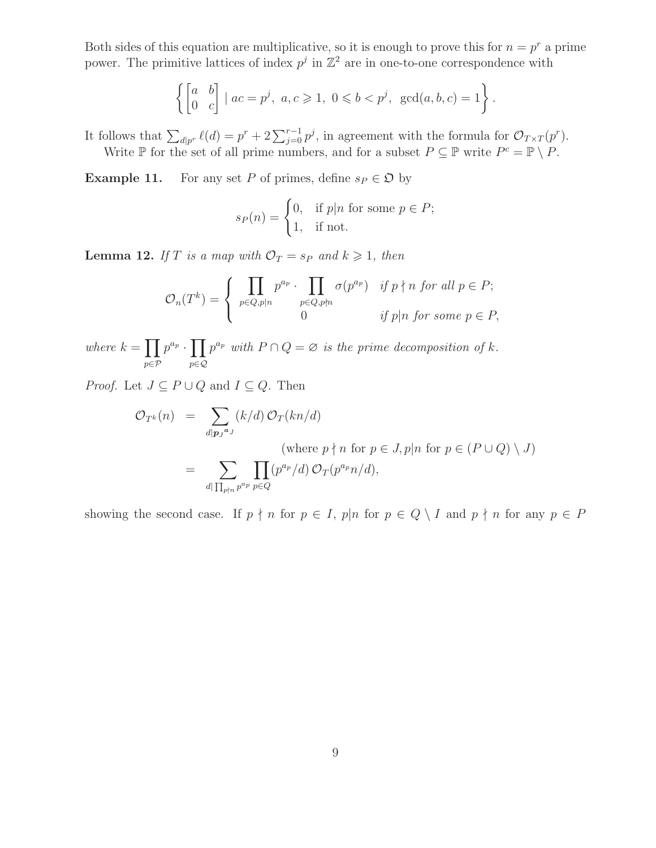Both sides of this equation are multiplicative, so it is enough to prove this for  $n = p^r$  a prime power. The primitive lattices of index  $p^j$  in  $\mathbb{Z}^2$  are in one-to-one correspondence with

$$
\left\{ \begin{bmatrix} a & b \\ 0 & c \end{bmatrix} \mid ac = p^j, \ a, c \geq 1, \ 0 \leq b < p^j, \ \gcd(a, b, c) = 1 \right\}.
$$

It follows that  $\sum_{d|p^r} \ell(d) = p^r + 2 \sum_{j=0}^{r-1} p^j$ , in agreement with the formula for  $\mathcal{O}_{T \times T}(p^r)$ . Write  $\mathbb P$  for the set of all prime numbers, and for a subset  $P \subseteq \mathbb P$  write  $P^c = \mathbb P \setminus P$ .

<span id="page-8-0"></span>**Example 11.** For any set P of primes, define  $s_P \in \mathfrak{O}$  by

$$
s_P(n) = \begin{cases} 0, & \text{if } p|n \text{ for some } p \in P; \\ 1, & \text{if not.} \end{cases}
$$

**Lemma 12.** If T is a map with  $\mathcal{O}_T = s_P$  and  $k \geq 1$ , then

$$
\mathcal{O}_n(T^k) = \begin{cases} \prod_{p \in Q, p \mid n} p^{a_p} \cdot \prod_{p \in Q, p \nmid n} \sigma(p^{a_p}) & \text{if } p \nmid n \text{ for all } p \in P; \\ 0 & \text{if } p \mid n \text{ for some } p \in P, \end{cases}
$$

where  $k = \prod$ p∈P  $p^{a_p} \cdot \prod$ p∈Q  $p^{a_p}$  with  $P \cap Q = \emptyset$  is the prime decomposition of k.

*Proof.* Let  $J \subseteq P \cup Q$  and  $I \subseteq Q$ . Then

$$
\mathcal{O}_{T^k}(n) = \sum_{d|\mathbf{p}_J^{a_J}} (k/d) \mathcal{O}_T(kn/d)
$$
  
\n(where  $p \nmid n$  for  $p \in J$ ,  $p|n$  for  $p \in (P \cup Q) \setminus J$ )  
\n
$$
= \sum_{d|\prod_{p\nmid n} p^{a_p}} \prod_{p \in Q} (p^{a_p}/d) \mathcal{O}_T(p^{a_p}n/d),
$$

showing the second case. If  $p \nmid n$  for  $p \in I$ ,  $p|n$  for  $p \in Q \setminus I$  and  $p \nmid n$  for any  $p \in P$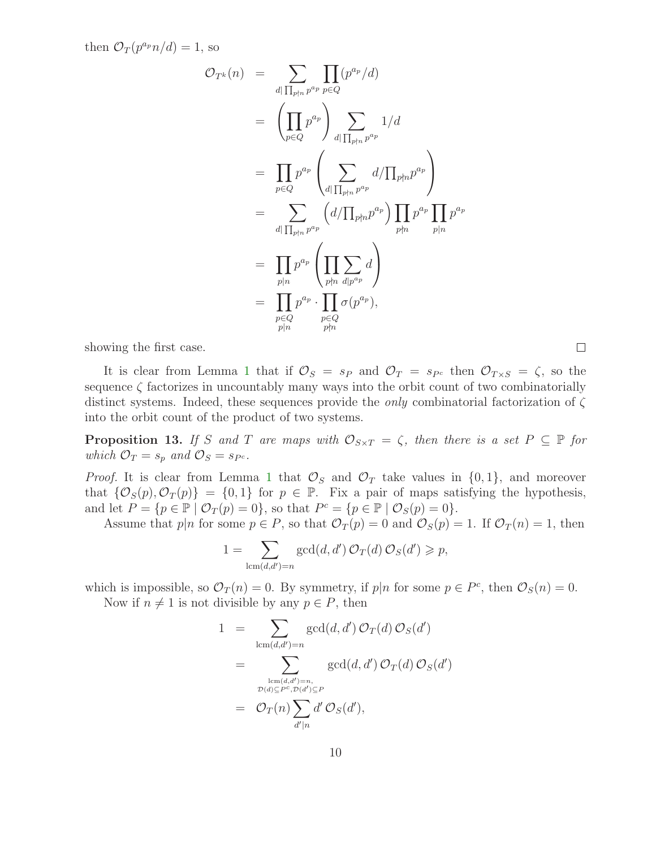then  $\mathcal{O}_T(p^{a_p}n/d)=1$ , so

$$
\mathcal{O}_{T^{k}}(n) = \sum_{d|\prod_{p \nmid n} p^{a_{p}}} \prod_{p \in Q} (p^{a_{p}}/d)
$$
  
\n
$$
= \left( \prod_{p \in Q} p^{a_{p}} \right) \sum_{d|\prod_{p \nmid n} p^{a_{p}}} 1/d
$$
  
\n
$$
= \prod_{p \in Q} p^{a_{p}} \left( \sum_{d|\prod_{p \nmid n} p^{a_{p}}} d/\prod_{p \nmid n} p^{a_{p}} \right)
$$
  
\n
$$
= \sum_{d|\prod_{p \nmid n} p^{a_{p}}} \left( d/\prod_{p \nmid n} p^{a_{p}} \right) \prod_{p \nmid n} p^{a_{p}} \prod_{p | n} p^{a_{p}}
$$
  
\n
$$
= \prod_{p | n} p^{a_{p}} \left( \prod_{p \nmid n} \sum_{d | p^{a_{p}}} d \right)
$$
  
\n
$$
= \prod_{p \in Q} p^{a_{p}} \cdot \prod_{p \in Q} \sigma(p^{a_{p}}),
$$

showing the first case.

It is clear from Lemma [1](#page-3-0) that if  $\mathcal{O}_S = s_P$  and  $\mathcal{O}_T = s_{P^c}$  then  $\mathcal{O}_{T \times S} = \zeta$ , so the sequence  $\zeta$  factorizes in uncountably many ways into the orbit count of two combinatorially distinct systems. Indeed, these sequences provide the *only* combinatorial factorization of  $\zeta$ into the orbit count of the product of two systems.

**Proposition 13.** If S and T are maps with  $\mathcal{O}_{S \times T} = \zeta$ , then there is a set  $P \subseteq \mathbb{P}$  for which  $\mathcal{O}_T = s_p$  and  $\mathcal{O}_S = s_{P^c}$ .

*Proof.* It is clear from Lemma [1](#page-3-0) that  $\mathcal{O}_S$  and  $\mathcal{O}_T$  take values in  $\{0,1\}$ , and moreover that  $\{\mathcal{O}_S(p), \mathcal{O}_T(p)\} = \{0, 1\}$  for  $p \in \mathbb{P}$ . Fix a pair of maps satisfying the hypothesis, and let  $P = \{p \in \mathbb{P} \mid \mathcal{O}_T(p) = 0\}$ , so that  $P^c = \{p \in \mathbb{P} \mid \mathcal{O}_S(p) = 0\}.$ 

Assume that  $p|n$  for some  $p \in P$ , so that  $\mathcal{O}_T(p) = 0$  and  $\mathcal{O}_S(p) = 1$ . If  $\mathcal{O}_T(n) = 1$ , then

$$
1 = \sum_{\text{lcm}(d,d')=n} \gcd(d,d') \mathcal{O}_T(d) \mathcal{O}_S(d') \geqslant p,
$$

which is impossible, so  $\mathcal{O}_T(n) = 0$ . By symmetry, if  $p|n$  for some  $p \in P^c$ , then  $\mathcal{O}_S(n) = 0$ . Now if  $n \neq 1$  is not divisible by any  $p \in P$ , then

$$
1 = \sum_{\text{lcm}(d,d')=n} \gcd(d,d') \mathcal{O}_T(d) \mathcal{O}_S(d')
$$
  
= 
$$
\sum_{\substack{\text{lcm}(d,d')=n, \\ \mathcal{D}(d) \subseteq P^c, \mathcal{D}(d') \subseteq P}} \gcd(d,d') \mathcal{O}_T(d) \mathcal{O}_S(d')
$$
  
= 
$$
\mathcal{O}_T(n) \sum_{d'|n} d' \mathcal{O}_S(d'),
$$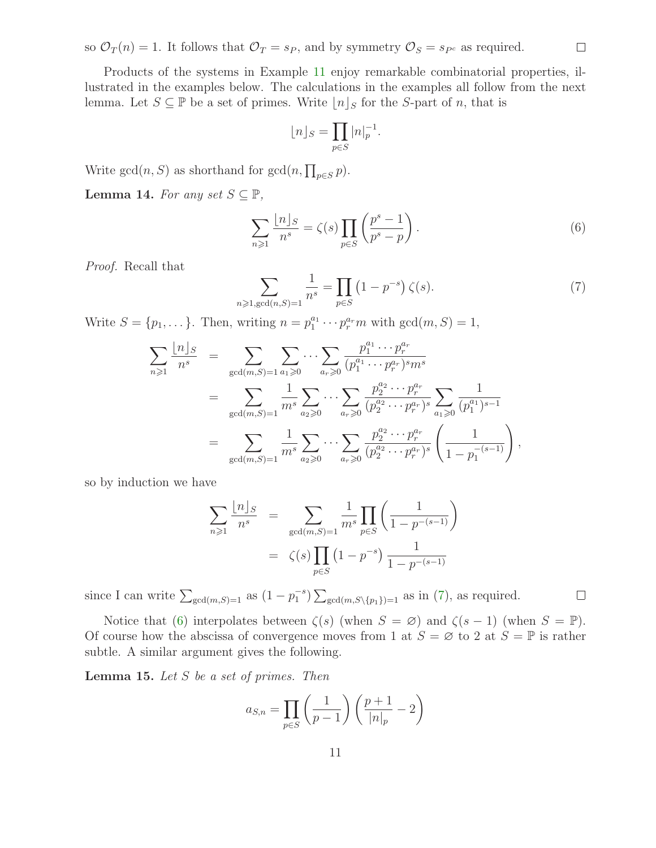so  $\mathcal{O}_T(n) = 1$ . It follows that  $\mathcal{O}_T = s_P$ , and by symmetry  $\mathcal{O}_S = s_{P^c}$  as required.

Products of the systems in Example [11](#page-8-0) enjoy remarkable combinatorial properties, illustrated in the examples below. The calculations in the examples all follow from the next lemma. Let  $S \subseteq \mathbb{P}$  be a set of primes. Write  $|n|_S$  for the S-part of n, that is

$$
\lfloor n \rfloor_S = \prod_{p \in S} |n|_p^{-1}.
$$

Write  $gcd(n, S)$  as shorthand for  $gcd(n, \prod_{p \in S} p)$ .

Lemma 14. For any set  $S \subseteq \mathbb{P}$ ,

<span id="page-10-1"></span>
$$
\sum_{n\geqslant 1} \frac{\lfloor n \rfloor_S}{n^s} = \zeta(s) \prod_{p \in S} \left( \frac{p^s - 1}{p^s - p} \right). \tag{6}
$$

<span id="page-10-0"></span>Proof. Recall that

$$
\sum_{n \ge 1, \gcd(n, S) = 1} \frac{1}{n^s} = \prod_{p \in S} (1 - p^{-s}) \zeta(s).
$$
 (7)

Write  $S = \{p_1, \dots\}$ . Then, writing  $n = p_1^{a_1} \cdots p_r^{a_r} m$  with  $gcd(m, S) = 1$ ,

$$
\sum_{n\geqslant 1} \frac{\lfloor n \rfloor_S}{n^s} = \sum_{\gcd(m,S)=1} \sum_{a_1\geqslant 0} \cdots \sum_{a_r\geqslant 0} \frac{p_1^{a_1} \cdots p_r^{a_r}}{(p_1^{a_1} \cdots p_r^{a_r})^{s} m^s}
$$
  

$$
= \sum_{\gcd(m,S)=1} \frac{1}{m^s} \sum_{a_2\geqslant 0} \cdots \sum_{a_r\geqslant 0} \frac{p_2^{a_2} \cdots p_r^{a_r}}{(p_2^{a_2} \cdots p_r^{a_r})^{s}} \sum_{a_1\geqslant 0} \frac{1}{(p_1^{a_1})^{s-1}}
$$
  

$$
= \sum_{\gcd(m,S)=1} \frac{1}{m^s} \sum_{a_2\geqslant 0} \cdots \sum_{a_r\geqslant 0} \frac{p_2^{a_2} \cdots p_r^{a_r}}{(p_2^{a_2} \cdots p_r^{a_r})^{s}} \left(\frac{1}{1-p_1^{-(s-1)}}\right),
$$

so by induction we have

$$
\sum_{n\geqslant 1} \frac{\lfloor n \rfloor_S}{n^s} = \sum_{\gcd(m,S)=1} \frac{1}{m^s} \prod_{p\in S} \left( \frac{1}{1 - p^{-(s-1)}} \right)
$$

$$
= \zeta(s) \prod_{p\in S} \left(1 - p^{-s}\right) \frac{1}{1 - p^{-(s-1)}}
$$

since I can write  $\sum_{\gcd(m,S)=1}$  as  $(1-p_1^{-s}) \sum_{\gcd(m,S\setminus\{p_1\})=1}$  as in [\(7\)](#page-10-0), as required.

Notice that [\(6\)](#page-10-1) interpolates between  $\zeta(s)$  (when  $S = \emptyset$ ) and  $\zeta(s-1)$  (when  $S = \mathbb{P}$ ). Of course how the abscissa of convergence moves from 1 at  $S = \emptyset$  to 2 at  $S = \mathbb{P}$  is rather subtle. A similar argument gives the following.

<span id="page-10-2"></span>**Lemma 15.** Let  $S$  be a set of primes. Then

$$
a_{S,n} = \prod_{p \in S} \left(\frac{1}{p-1}\right) \left(\frac{p+1}{|n|_p} - 2\right)
$$

 $\Box$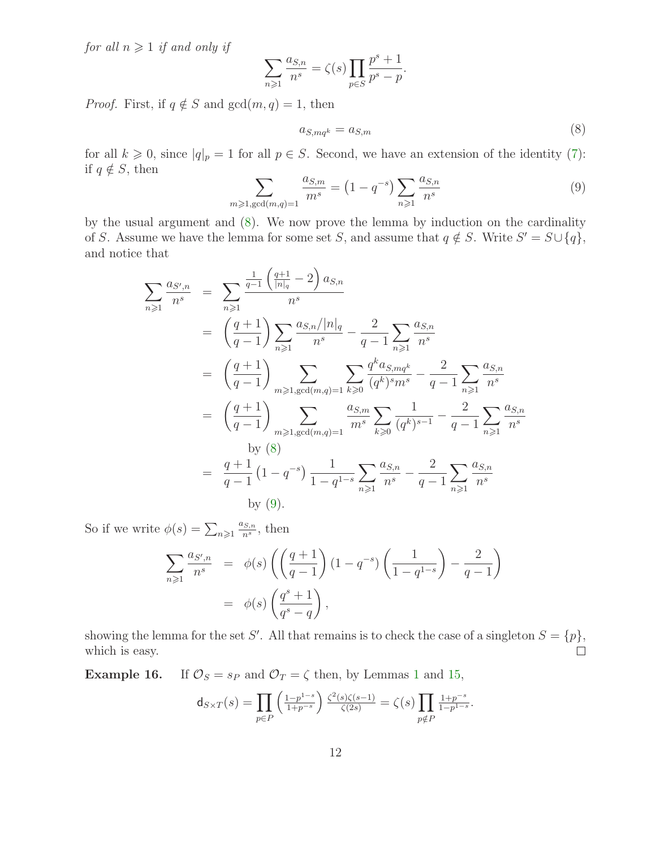for all  $n \geq 1$  if and only if

<span id="page-11-1"></span>
$$
\sum_{n\geqslant 1} \frac{a_{S,n}}{n^s} = \zeta(s) \prod_{p\in S} \frac{p^s + 1}{p^s - p}.
$$

*Proof.* First, if  $q \notin S$  and  $gcd(m, q) = 1$ , then

$$
a_{S,mq^k} = a_{S,m} \tag{8}
$$

<span id="page-11-2"></span>for all  $k \geq 0$ , since  $|q|_p = 1$  for all  $p \in S$ . Second, we have an extension of the identity [\(7\)](#page-10-0): if  $q \notin S$ , then

$$
\sum_{m \ge 1, \gcd(m,q)=1} \frac{a_{S,m}}{m^s} = (1 - q^{-s}) \sum_{n \ge 1} \frac{a_{S,n}}{n^s}
$$
(9)

by the usual argument and [\(8\)](#page-11-1). We now prove the lemma by induction on the cardinality of S. Assume we have the lemma for some set S, and assume that  $q \notin S$ . Write  $S' = S \cup \{q\}$ , and notice that

$$
\sum_{n\geqslant 1} \frac{a_{S',n}}{n^s} = \sum_{n\geqslant 1} \frac{\frac{1}{q-1} \left(\frac{q+1}{|n|_q} - 2\right) a_{S,n}}{n^s}
$$
\n
$$
= \left(\frac{q+1}{q-1}\right) \sum_{n\geqslant 1} \frac{a_{S,n}/|n|_q}{n^s} - \frac{2}{q-1} \sum_{n\geqslant 1} \frac{a_{S,n}}{n^s}
$$
\n
$$
= \left(\frac{q+1}{q-1}\right) \sum_{m\geqslant 1, \text{gcd}(m,q)=1} \sum_{k\geqslant 0} \frac{q^k a_{S,mq^k}}{(q^k)^s m^s} - \frac{2}{q-1} \sum_{n\geqslant 1} \frac{a_{S,n}}{n^s}
$$
\n
$$
= \left(\frac{q+1}{q-1}\right) \sum_{m\geqslant 1, \text{gcd}(m,q)=1} \frac{a_{S,m}}{m^s} \sum_{k\geqslant 0} \frac{1}{(q^k)^{s-1}} - \frac{2}{q-1} \sum_{n\geqslant 1} \frac{a_{S,n}}{n^s}
$$
\nby (8)\n
$$
= \frac{q+1}{q-1} \left(1-q^{-s}\right) \frac{1}{1-q^{1-s}} \sum_{n\geqslant 1} \frac{a_{S,n}}{n^s} - \frac{2}{q-1} \sum_{n\geqslant 1} \frac{a_{S,n}}{n^s}
$$
\nby (9).

So if we write  $\phi(s) = \sum_{n \geqslant 1}$  $a_{S,n}$  $\frac{dS,n}{n^s}$ , then

$$
\sum_{n\geqslant 1} \frac{a_{S',n}}{n^s} = \phi(s) \left( \left( \frac{q+1}{q-1} \right) (1-q^{-s}) \left( \frac{1}{1-q^{1-s}} \right) - \frac{2}{q-1} \right)
$$

$$
= \phi(s) \left( \frac{q^s+1}{q^s-q} \right),
$$

showing the lemma for the set S'. All that remains is to check the case of a singleton  $S = \{p\},\$ which is easy.  $\Box$ 

<span id="page-11-0"></span>**Example [1](#page-3-0)6.** If  $\mathcal{O}_S = s_P$  and  $\mathcal{O}_T = \zeta$  then, by Lemmas 1 and [15,](#page-10-2)

$$
\mathsf{d}_{S \times T}(s) = \prod_{p \in P} \left( \frac{1 - p^{1-s}}{1 + p^{-s}} \right) \frac{\zeta^2(s)\zeta(s-1)}{\zeta(2s)} = \zeta(s) \prod_{p \notin P} \frac{1 + p^{-s}}{1 - p^{1-s}}
$$

.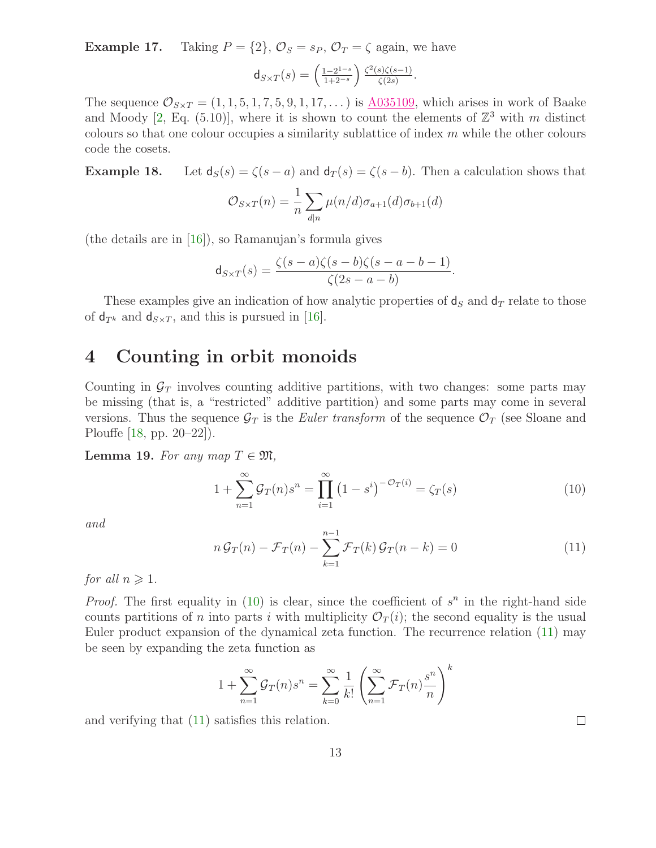**Example 17.** Taking  $P = \{2\}$ ,  $\mathcal{O}_S = s_P$ ,  $\mathcal{O}_T = \zeta$  again, we have

$$
\mathsf{d}_{S\times T}(s)=\left(\tfrac{1-2^{1-s}}{1+2^{-s}}\right)\tfrac{\zeta^2(s)\zeta(s-1)}{\zeta(2s)}.
$$

The sequence  $\mathcal{O}_{S\times T} = (1, 1, 5, 1, 7, 5, 9, 1, 17, \dots)$  is  $\underline{\text{A}035109}$ , which arises in work of Baake and Moody [\[2,](#page-18-6) Eq. (5.10)], where it is shown to count the elements of  $\mathbb{Z}^3$  with m distinct colours so that one colour occupies a similarity sublattice of index  $m$  while the other colours code the cosets.

**Example 18.** Let  $d_S(s) = \zeta(s - a)$  and  $d_T(s) = \zeta(s - b)$ . Then a calculation shows that

$$
\mathcal{O}_{S \times T}(n) = \frac{1}{n} \sum_{d|n} \mu(n/d) \sigma_{a+1}(d) \sigma_{b+1}(d)
$$

(the details are in  $[16]$ ), so Ramanujan's formula gives

$$
\mathsf{d}_{S \times T}(s) = \frac{\zeta(s-a)\zeta(s-b)\zeta(s-a-b-1)}{\zeta(2s-a-b)}.
$$

These examples give an indication of how analytic properties of  $d_S$  and  $d_T$  relate to those of  $d_{T^k}$  and  $d_{S\times T}$ , and this is pursued in [\[16\]](#page-19-0).

#### 4 Counting in orbit monoids

Counting in  $\mathcal{G}_T$  involves counting additive partitions, with two changes: some parts may be missing (that is, a "restricted" additive partition) and some parts may come in several versions. Thus the sequence  $\mathcal{G}_T$  is the *Euler transform* of the sequence  $\mathcal{O}_T$  (see Sloane and Plouffe [\[18,](#page-19-3) pp. 20–22]).

**Lemma 19.** For any map  $T \in \mathfrak{M}$ ,

<span id="page-12-0"></span>
$$
1 + \sum_{n=1}^{\infty} \mathcal{G}_T(n) s^n = \prod_{i=1}^{\infty} (1 - s^i)^{-\mathcal{O}_T(i)} = \zeta_T(s)
$$
 (10)

<span id="page-12-1"></span>and

$$
n\mathcal{G}_T(n) - \mathcal{F}_T(n) - \sum_{k=1}^{n-1} \mathcal{F}_T(k)\mathcal{G}_T(n-k) = 0
$$
\n(11)

for all  $n \geqslant 1$ .

*Proof.* The first equality in [\(10\)](#page-12-0) is clear, since the coefficient of  $s^n$  in the right-hand side counts partitions of n into parts i with multiplicity  $\mathcal{O}_T(i)$ ; the second equality is the usual Euler product expansion of the dynamical zeta function. The recurrence relation [\(11\)](#page-12-1) may be seen by expanding the zeta function as

$$
1 + \sum_{n=1}^{\infty} \mathcal{G}_T(n) s^n = \sum_{k=0}^{\infty} \frac{1}{k!} \left( \sum_{n=1}^{\infty} \mathcal{F}_T(n) \frac{s^n}{n} \right)^k
$$

and verifying that [\(11\)](#page-12-1) satisfies this relation.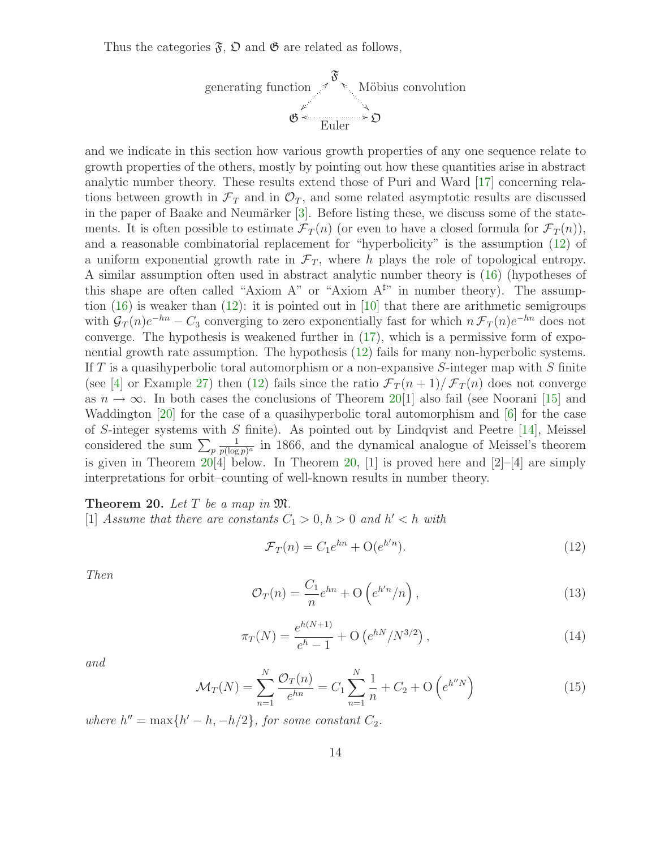Thus the categories  $\mathfrak{F}, \mathfrak{O}$  and  $\mathfrak{G}$  are related as follows,



and we indicate in this section how various growth properties of any one sequence relate to growth properties of the others, mostly by pointing out how these quantities arise in abstract analytic number theory. These results extend those of Puri and Ward [\[17\]](#page-19-1) concerning relations between growth in  $\mathcal{F}_T$  and in  $\mathcal{O}_T$ , and some related asymptotic results are discussed in the paper of Baake and Neumärker  $[3]$ . Before listing these, we discuss some of the statements. It is often possible to estimate  $\mathcal{F}_T(n)$  (or even to have a closed formula for  $\mathcal{F}_T(n)$ ), and a reasonable combinatorial replacement for "hyperbolicity" is the assumption [\(12\)](#page-13-0) of a uniform exponential growth rate in  $\mathcal{F}_T$ , where h plays the role of topological entropy. A similar assumption often used in abstract analytic number theory is [\(16\)](#page-14-0) (hypotheses of this shape are often called "Axiom A" or "Axiom  $A^{\sharp}$ " in number theory). The assumption  $(16)$  is weaker than  $(12)$ : it is pointed out in [\[10\]](#page-18-7) that there are arithmetic semigroups with  $\mathcal{G}_T(n)e^{-hn} - C_3$  converging to zero exponentially fast for which  $n \mathcal{F}_T(n)e^{-hn}$  does not converge. The hypothesis is weakened further in [\(17\)](#page-14-1), which is a permissive form of exponential growth rate assumption. The hypothesis [\(12\)](#page-13-0) fails for many non-hyperbolic systems. If T is a quasihyperbolic toral automorphism or a non-expansive S-integer map with S finite (see [\[4\]](#page-18-8) or Example [27\)](#page-18-9) then [\(12\)](#page-13-0) fails since the ratio  $\mathcal{F}_T(n+1)/\mathcal{F}_T(n)$  does not converge as  $n \to \infty$ . In both cases the conclusions of Theorem [20\[](#page-13-1)1] also fail (see Noorani [\[15\]](#page-19-4) and Waddington [\[20\]](#page-19-5) for the case of a quasihyperbolic toral automorphism and [\[6\]](#page-18-4) for the case of S-integer systems with S finite). As pointed out by Lindqvist and Peetre [\[14\]](#page-19-6), Meissel considered the sum  $\sum_p$ 1  $\frac{1}{p(\log p)^a}$  in 1866, and the dynamical analogue of Meissel's theorem is given in Theorem  $20\dot{[4]}$  below. In Theorem [20,](#page-13-1) [1] is proved here and  $[2]-[4]$  are simply interpretations for orbit–counting of well-known results in number theory.

<span id="page-13-1"></span>**Theorem 20.** Let  $T$  be a map in  $\mathfrak{M}$ .

[1] Assume that there are constants  $C_1 > 0, h > 0$  and  $h' < h$  with

<span id="page-13-0"></span>
$$
\mathcal{F}_T(n) = C_1 e^{hn} + \mathcal{O}(e^{h'n}).\tag{12}
$$

<span id="page-13-3"></span><span id="page-13-2"></span>Then

$$
\mathcal{O}_T(n) = \frac{C_1}{n} e^{hn} + \mathcal{O}\left(e^{h'n}/n\right),\tag{13}
$$

$$
\pi_T(N) = \frac{e^{h(N+1)}}{e^h - 1} + \mathcal{O}\left(e^{hN}/N^{3/2}\right),\tag{14}
$$

<span id="page-13-4"></span>and

$$
\mathcal{M}_T(N) = \sum_{n=1}^N \frac{\mathcal{O}_T(n)}{e^{hn}} = C_1 \sum_{n=1}^N \frac{1}{n} + C_2 + \mathcal{O}\left(e^{h''N}\right)
$$
(15)

where  $h'' = \max\{h' - h, -h/2\}$ , for some constant  $C_2$ .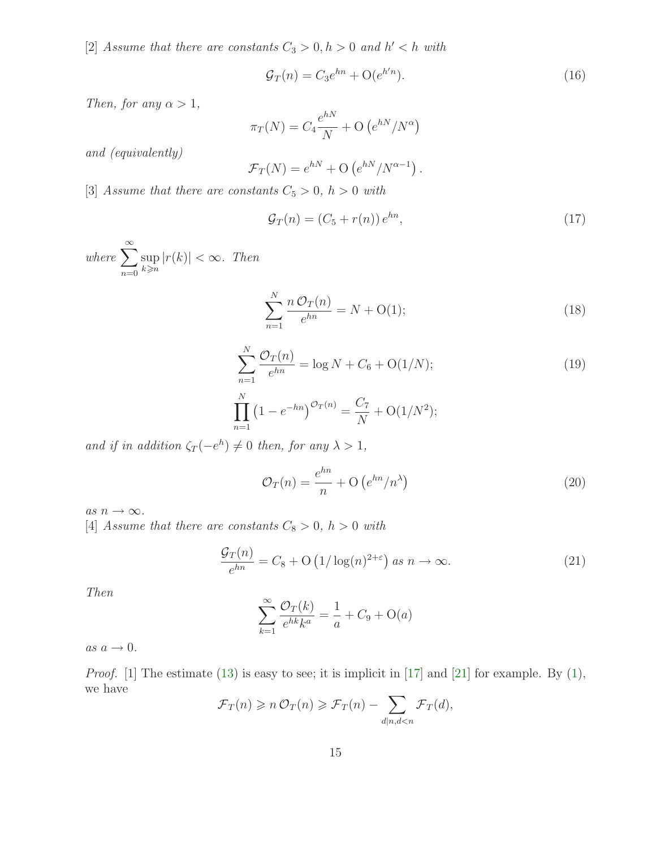[2] Assume that there are constants  $C_3 > 0, h > 0$  and  $h' < h$  with

<span id="page-14-0"></span>
$$
\mathcal{G}_T(n) = C_3 e^{hn} + \mathcal{O}(e^{h'n}).\tag{16}
$$

Then, for any  $\alpha > 1$ ,

$$
\pi_T(N) = C_4 \frac{e^{hN}}{N} + \mathcal{O}\left(e^{hN}/N^{\alpha}\right)
$$

and (equivalently)

$$
\mathcal{F}_T(N) = e^{hN} + \mathcal{O}\left(e^{hN}/N^{\alpha-1}\right).
$$

[3] Assume that there are constants  $C_5 > 0$ ,  $h > 0$  with

<span id="page-14-2"></span><span id="page-14-1"></span>
$$
\mathcal{G}_T(n) = (C_5 + r(n)) e^{hn}, \qquad (17)
$$

<span id="page-14-4"></span>where  $\sum_{n=1}^{\infty}$  $n=0$ sup  $k\geqslant n$  $|r(k)| < \infty$ . Then

$$
\sum_{n=1}^{N} \frac{n \mathcal{O}_T(n)}{e^{hn}} = N + \mathcal{O}(1); \tag{18}
$$

$$
\sum_{n=1}^{N} \frac{\mathcal{O}_T(n)}{e^{hn}} = \log N + C_6 + \mathcal{O}(1/N);
$$
\n
$$
\prod_{n=1}^{N} \left(1 - e^{-hn}\right)^{\mathcal{O}_T(n)} = \frac{C_7}{N} + \mathcal{O}(1/N^2);
$$
\n(19)

and if in addition  $\zeta_T(-e^h) \neq 0$  then, for any  $\lambda > 1$ ,

<span id="page-14-5"></span><span id="page-14-3"></span>
$$
\mathcal{O}_T(n) = \frac{e^{hn}}{n} + \mathcal{O}\left(e^{hn}/n^{\lambda}\right) \tag{20}
$$

as  $n \to \infty$ .

[4] Assume that there are constants  $C_8 > 0$ ,  $h > 0$  with

$$
\frac{\mathcal{G}_T(n)}{e^{hn}} = C_8 + \mathcal{O}\left(\frac{1}{\log(n)^{2+\varepsilon}}\right) \text{ as } n \to \infty. \tag{21}
$$

Then

$$
\sum_{k=1}^{\infty} \frac{\mathcal{O}_T(k)}{e^{hk}k^a} = \frac{1}{a} + C_9 + \mathcal{O}(a)
$$

 $as a \rightarrow 0.$ 

*Proof.* [1] The estimate [\(13\)](#page-13-2) is easy to see; it is implicit in [\[17\]](#page-19-1) and [\[21\]](#page-19-7) for example. By [\(1\)](#page-1-0), we have

$$
\mathcal{F}_T(n) \geqslant n \mathcal{O}_T(n) \geqslant \mathcal{F}_T(n) - \sum_{d|n, d < n} \mathcal{F}_T(d),
$$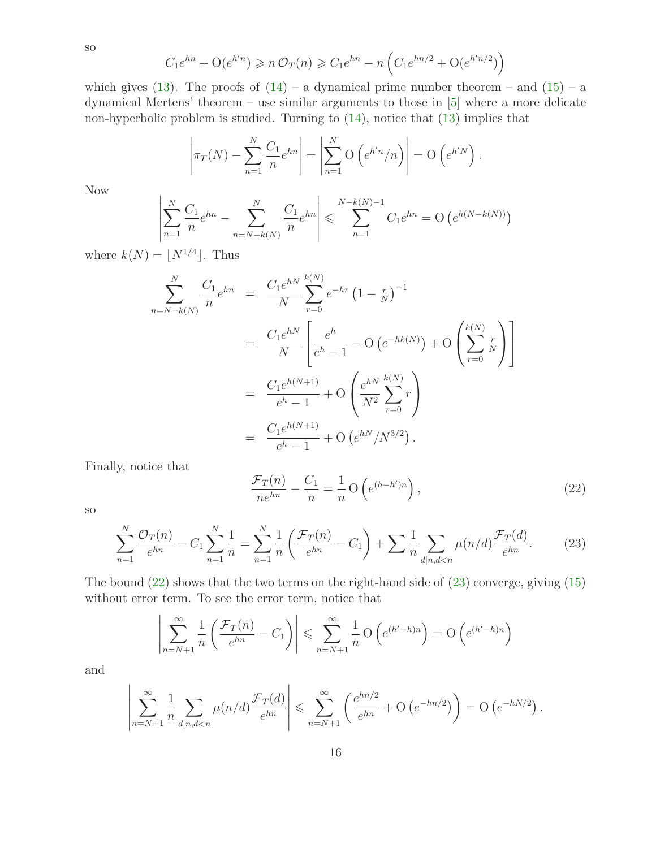$$
C_1 e^{hn} + O(e^{h'n}) \geqslant n \mathcal{O}_T(n) \geqslant C_1 e^{hn} - n \left( C_1 e^{hn/2} + O(e^{h'n/2}) \right)
$$

which gives [\(13\)](#page-13-2). The proofs of  $(14)$  – a dynamical prime number theorem – and  $(15)$  – a dynamical Mertens' theorem – use similar arguments to those in [\[5\]](#page-18-10) where a more delicate non-hyperbolic problem is studied. Turning to [\(14\)](#page-13-3), notice that [\(13\)](#page-13-2) implies that

$$
\left|\pi_T(N) - \sum_{n=1}^N \frac{C_1}{n} e^{hn}\right| = \left|\sum_{n=1}^N \mathcal{O}\left(e^{h'n}/n\right)\right| = \mathcal{O}\left(e^{h'N}\right).
$$

Now

$$
\left| \sum_{n=1}^{N} \frac{C_1}{n} e^{hn} - \sum_{n=N-k(N)}^{N} \frac{C_1}{n} e^{hn} \right| \leqslant \sum_{n=1}^{N-k(N)-1} C_1 e^{hn} = O\left(e^{h(N-k(N))}\right)
$$

where  $k(N) = \lfloor N^{1/4} \rfloor$ . Thus

$$
\sum_{n=N-k(N)}^{N} \frac{C_1}{n} e^{hn} = \frac{C_1 e^{hN}}{N} \sum_{r=0}^{k(N)} e^{-hr} (1 - \frac{r}{N})^{-1}
$$
  
= 
$$
\frac{C_1 e^{hN}}{N} \left[ \frac{e^h}{e^h - 1} - O(e^{-hk(N)}) + O\left(\sum_{r=0}^{k(N)} \frac{r}{N}\right) \right]
$$
  
= 
$$
\frac{C_1 e^{h(N+1)}}{e^h - 1} + O\left(\frac{e^{hN}}{N^2} \sum_{r=0}^{k(N)} r\right)
$$
  
= 
$$
\frac{C_1 e^{h(N+1)}}{e^h - 1} + O\left(e^{hN}/N^{3/2}\right).
$$

<span id="page-15-0"></span>Finally, notice that

$$
\frac{\mathcal{F}_T(n)}{ne^{hn}} - \frac{C_1}{n} = \frac{1}{n} \mathcal{O}\left(e^{(h-h')n}\right),\tag{22}
$$

<span id="page-15-1"></span>so

$$
\sum_{n=1}^{N} \frac{\mathcal{O}_T(n)}{e^{hn}} - C_1 \sum_{n=1}^{N} \frac{1}{n} = \sum_{n=1}^{N} \frac{1}{n} \left( \frac{\mathcal{F}_T(n)}{e^{hn}} - C_1 \right) + \sum_{n=1}^{N} \sum_{d|n,d (23)
$$

The bound [\(22\)](#page-15-0) shows that the two terms on the right-hand side of [\(23\)](#page-15-1) converge, giving [\(15\)](#page-13-4) without error term. To see the error term, notice that

$$
\left|\sum_{n=N+1}^{\infty} \frac{1}{n} \left( \frac{\mathcal{F}_T(n)}{e^{hn}} - C_1 \right) \right| \leq \sum_{n=N+1}^{\infty} \frac{1}{n} O\left(e^{(h'-h)n}\right) = O\left(e^{(h'-h)n}\right)
$$

and

$$
\left| \sum_{n=N+1}^{\infty} \frac{1}{n} \sum_{d|n,d
$$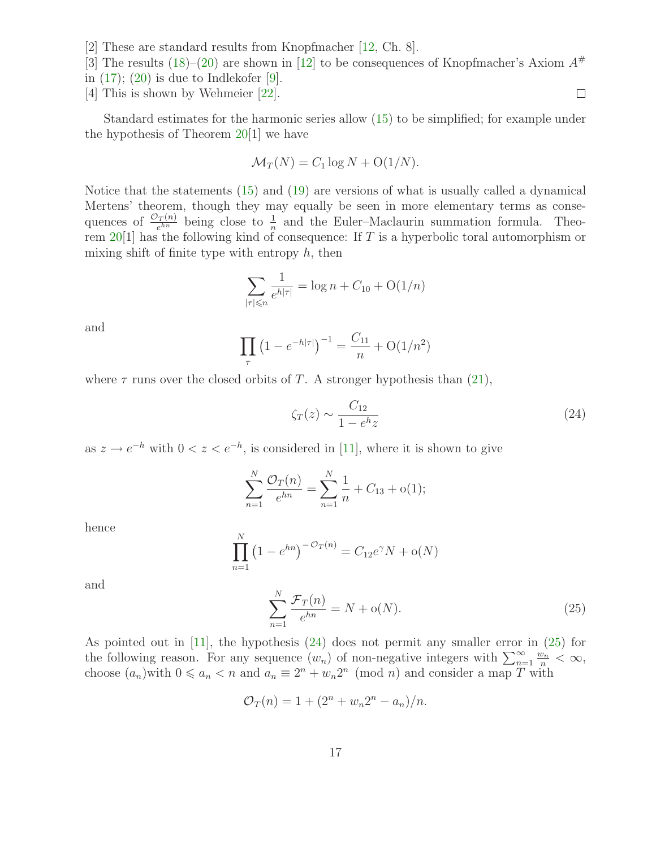[2] These are standard results from Knopfmacher [\[12,](#page-18-2) Ch. 8].

[3] The results [\(18\)](#page-14-2)–[\(20\)](#page-14-3) are shown in [\[12\]](#page-18-2) to be consequences of Knopfmacher's Axiom  $A^{\#}$ 

- in  $(17)$ ;  $(20)$  is due to Indlekofer [\[9\]](#page-18-11).
- [4] This is shown by Wehmeier [\[22\]](#page-19-8).

Standard estimates for the harmonic series allow [\(15\)](#page-13-4) to be simplified; for example under the hypothesis of Theorem [20\[](#page-13-1)1] we have

$$
\mathcal{M}_T(N) = C_1 \log N + O(1/N).
$$

Notice that the statements [\(15\)](#page-13-4) and [\(19\)](#page-14-4) are versions of what is usually called a dynamical Mertens' theorem, though they may equally be seen in more elementary terms as consequences of  $\frac{\mathcal{O}_T(n)}{e^{hn}}$  being close to  $\frac{1}{n}$  and the Euler–Maclaurin summation formula. Theorem  $20[1]$  $20[1]$  has the following kind of consequence: If T is a hyperbolic toral automorphism or mixing shift of finite type with entropy  $h$ , then

$$
\sum_{|\tau| \le n} \frac{1}{e^{h|\tau|}} = \log n + C_{10} + O(1/n)
$$

and

$$
\prod_{\tau} (1 - e^{-h|\tau|})^{-1} = \frac{C_{11}}{n} + O(1/n^2)
$$

where  $\tau$  runs over the closed orbits of T. A stronger hypothesis than [\(21\)](#page-14-5),

<span id="page-16-0"></span>
$$
\zeta_T(z) \sim \frac{C_{12}}{1 - e^h z} \tag{24}
$$

as  $z \to e^{-h}$  with  $0 < z < e^{-h}$ , is considered in [\[11\]](#page-18-12), where it is shown to give

$$
\sum_{n=1}^{N} \frac{\mathcal{O}_T(n)}{e^{hn}} = \sum_{n=1}^{N} \frac{1}{n} + C_{13} + o(1);
$$

hence

$$
\prod_{n=1}^{N} (1 - e^{hn})^{-\mathcal{O}_T(n)} = C_{12} e^{\gamma} N + o(N)
$$

<span id="page-16-1"></span>and

$$
\sum_{n=1}^{N} \frac{\mathcal{F}_T(n)}{e^{hn}} = N + o(N). \tag{25}
$$

As pointed out in [\[11\]](#page-18-12), the hypothesis [\(24\)](#page-16-0) does not permit any smaller error in [\(25\)](#page-16-1) for the following reason. For any sequence  $(w_n)$  of non-negative integers with  $\sum_{n=1}^{\infty} \frac{w_n}{n} < \infty$ , choose  $(a_n)$  with  $0 \leq a_n < n$  and  $a_n \equiv 2^n + w_n 2^n \pmod{n}$  and consider a map T with

$$
\mathcal{O}_T(n) = 1 + (2^n + w_n 2^n - a_n)/n.
$$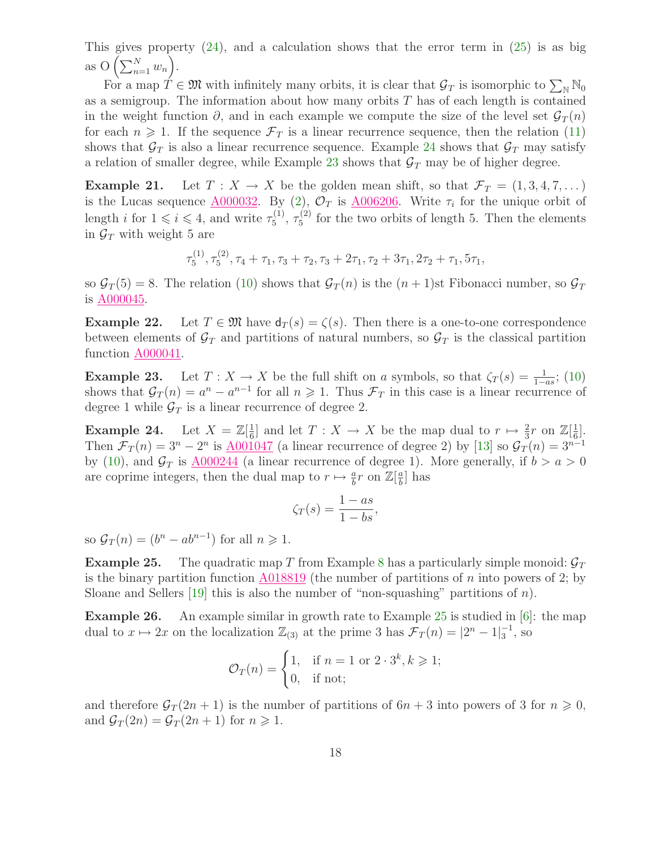This gives property  $(24)$ , and a calculation shows that the error term in  $(25)$  is as big as  $O\left(\sum_{n=1}^N w_n\right)$ .

For a map  $T \in \mathfrak{M}$  with infinitely many orbits, it is clear that  $\mathcal{G}_T$  is isomorphic to  $\sum_{\mathbb{N}} \mathbb{N}_0$ as a semigroup. The information about how many orbits  $T$  has of each length is contained in the weight function  $\partial$ , and in each example we compute the size of the level set  $\mathcal{G}_T(n)$ for each  $n \geq 1$ . If the sequence  $\mathcal{F}_T$  is a linear recurrence sequence, then the relation [\(11\)](#page-12-1) shows that  $\mathcal{G}_T$  is also a linear recurrence sequence. Example [24](#page-17-0) shows that  $\mathcal{G}_T$  may satisfy a relation of smaller degree, while Example [23](#page-17-1) shows that  $\mathcal{G}_T$  may be of higher degree.

**Example 21.** Let  $T : X \to X$  be the golden mean shift, so that  $\mathcal{F}_T = (1, 3, 4, 7, \dots)$ is the Lucas sequence  $\underline{A000032}$ . By [\(2\)](#page-1-1),  $\mathcal{O}_T$  is  $\underline{A006206}$ . Write  $\tau_i$  for the unique orbit of length *i* for  $1 \leq i \leq 4$ , and write  $\tau_5^{(1)}$  $\frac{(1)}{5}, \frac{(2)}{5}$  $\frac{1}{5}$  for the two orbits of length 5. Then the elements in  $\mathcal{G}_T$  with weight 5 are

$$
\tau_5^{(1)}, \tau_5^{(2)}, \tau_4 + \tau_1, \tau_3 + \tau_2, \tau_3 + 2\tau_1, \tau_2 + 3\tau_1, 2\tau_2 + \tau_1, 5\tau_1,
$$

so  $\mathcal{G}_T(5) = 8$ . The relation [\(10\)](#page-12-0) shows that  $\mathcal{G}_T(n)$  is the  $(n + 1)$ st Fibonacci number, so  $\mathcal{G}_T$ is  $A000045$ .

**Example 22.** Let  $T \in \mathfrak{M}$  have  $d_T(s) = \zeta(s)$ . Then there is a one-to-one correspondence between elements of  $\mathcal{G}_T$  and partitions of natural numbers, so  $\mathcal{G}_T$  is the classical partition function [A000041.](http://www.research.att.com/cgi-bin/access.cgi/as/~njas/sequences/eisA.cgi?Anum=A000041)

<span id="page-17-1"></span>**Example 23.** Let  $T: X \to X$  be the full shift on a symbols, so that  $\zeta_T(s) = \frac{1}{1-as}$ ; [\(10\)](#page-12-0) shows that  $G_T(n) = a^n - a^{n-1}$  for all  $n \geq 1$ . Thus  $\mathcal{F}_T$  in this case is a linear recurrence of degree 1 while  $\mathcal{G}_T$  is a linear recurrence of degree 2.

<span id="page-17-0"></span>Example 24. 1  $\frac{1}{6}$ ] and let  $T: X \to X$  be the map dual to  $r \mapsto \frac{2}{3}r$  on  $\mathbb{Z}[\frac{1}{6}]$  $\frac{1}{6}$ . Then  $\mathcal{F}_T(n) = 3^n - 2^n$  is  $\underline{\text{A001047}}$  $\underline{\text{A001047}}$  $\underline{\text{A001047}}$  (a linear recurrence of degree 2) by [\[13\]](#page-19-9) so  $\mathcal{G}_T(n) = 3^{n-1}$ by [\(10\)](#page-12-0), and  $\mathcal{G}_T$  is  $\underline{\text{A000244}}$  $\underline{\text{A000244}}$  $\underline{\text{A000244}}$  (a linear recurrence of degree 1). More generally, if  $b > a > 0$ are coprime integers, then the dual map to  $r \mapsto \frac{a}{b}r$  on  $\mathbb{Z}[\frac{a}{b}]$  $\frac{a}{b}$  has

$$
\zeta_T(s) = \frac{1 - as}{1 - bs},
$$

<span id="page-17-2"></span>so  $\mathcal{G}_T(n) = (b^n - ab^{n-1})$  for all  $n \geq 1$ .

**Example 25.** The quadratic map T from Example [8](#page-6-0) has a particularly simple monoid:  $\mathcal{G}_T$ is the binary partition function [A018819](http://www.research.att.com/cgi-bin/access.cgi/as/~njas/sequences/eisA.cgi?Anum=A018819) (the number of partitions of n into powers of 2; by Sloane and Sellers  $[19]$  this is also the number of "non-squashing" partitions of n).

Example 26. An example similar in growth rate to Example [25](#page-17-2) is studied in [\[6\]](#page-18-4): the map dual to  $x \mapsto 2x$  on the localization  $\mathbb{Z}_{(3)}$  at the prime 3 has  $\mathcal{F}_T (n) = |2^n - 1|_3^{-1}$ , so

$$
\mathcal{O}_T(n) = \begin{cases} 1, & \text{if } n = 1 \text{ or } 2 \cdot 3^k, k \geq 1; \\ 0, & \text{if not;} \end{cases}
$$

and therefore  $G_T(2n+1)$  is the number of partitions of  $6n+3$  into powers of 3 for  $n \geq 0$ , and  $\mathcal{G}_T(2n) = \mathcal{G}_T(2n+1)$  for  $n \geq 1$ .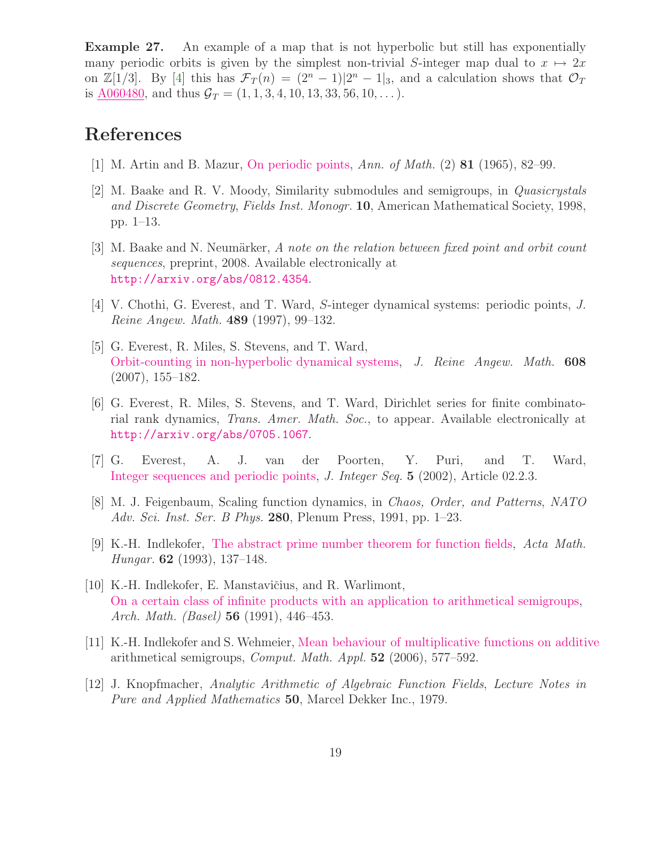<span id="page-18-9"></span>Example 27. An example of a map that is not hyperbolic but still has exponentially many periodic orbits is given by the simplest non-trivial S-integer map dual to  $x \mapsto 2x$ on  $\mathbb{Z}[1/3]$ . By [\[4\]](#page-18-8) this has  $\mathcal{F}_T(n) = (2^n - 1)|2^n - 1|_3$ , and a calculation shows that  $\mathcal{O}_T$ is  $\underline{\text{A}060480}$ , and thus  $\mathcal{G}_T = (1, 1, 3, 4, 10, 13, 33, 56, 10, \dots).$ 

## <span id="page-18-3"></span>References

- <span id="page-18-6"></span>[1] M. Artin and B. Mazur, [On periodic points,](http://dx.doi.org/10.2307/1970384) Ann. of Math. (2) 81 (1965), 82–99.
- [2] M. Baake and R. V. Moody, Similarity submodules and semigroups, in Quasicrystals and Discrete Geometry, Fields Inst. Monogr. 10, American Mathematical Society, 1998, pp. 1–13.
- <span id="page-18-1"></span>[3] M. Baake and N. Neumärker, A note on the relation between fixed point and orbit count sequences, preprint, 2008. Available electronically at <http://arxiv.org/abs/0812.4354>.
- <span id="page-18-10"></span><span id="page-18-8"></span>[4] V. Chothi, G. Everest, and T. Ward, S-integer dynamical systems: periodic points, J. Reine Angew. Math. 489 (1997), 99–132.
- [5] G. Everest, R. Miles, S. Stevens, and T. Ward, [Orbit-counting in non-hyperbolic dynamical systems,](http://dx.doi.org/10.1515/CRELLE.2007.056) J. Reine Angew. Math. 608 (2007), 155–182.
- <span id="page-18-4"></span>[6] G. Everest, R. Miles, S. Stevens, and T. Ward, Dirichlet series for finite combinatorial rank dynamics, Trans. Amer. Math. Soc., to appear. Available electronically at <http://arxiv.org/abs/0705.1067>.
- <span id="page-18-0"></span>[7] G. Everest, A. J. van der Poorten, Y. Puri, and T. Ward, [Integer sequences and periodic points,](http://www.cs.uwaterloo.ca/journals/JIS/VOL5/Ward/ward2.pdf) J. Integer Seq. 5 (2002), Article 02.2.3.
- <span id="page-18-5"></span>[8] M. J. Feigenbaum, Scaling function dynamics, in Chaos, Order, and Patterns, NATO Adv. Sci. Inst. Ser. B Phys. 280, Plenum Press, 1991, pp. 1–23.
- <span id="page-18-11"></span>[9] K.-H. Indlekofer, [The abstract prime number theorem for function fields,](http://dx.doi.org/10.1007/BF01874225) Acta Math. Hungar. 62 (1993), 137–148.
- <span id="page-18-7"></span>[10] K.-H. Indlekofer, E. Manstavičius, and R. Warlimont, [On a certain class of infinite products with an application to arithmetical semigroups,](http://dx.doi.org/10.1007/BF01200088) Arch. Math. (Basel) 56 (1991), 446–453.
- <span id="page-18-12"></span>[11] K.-H. Indlekofer and S. Wehmeier, [Mean behaviour of multiplicative functions on additive](http://dx.doi.org/10.1016/j.camwa.2005.04.019) arithmetical semigroups, Comput. Math. Appl. 52 (2006), 577–592.
- <span id="page-18-2"></span>[12] J. Knopfmacher, Analytic Arithmetic of Algebraic Function Fields, Lecture Notes in Pure and Applied Mathematics 50, Marcel Dekker Inc., 1979.